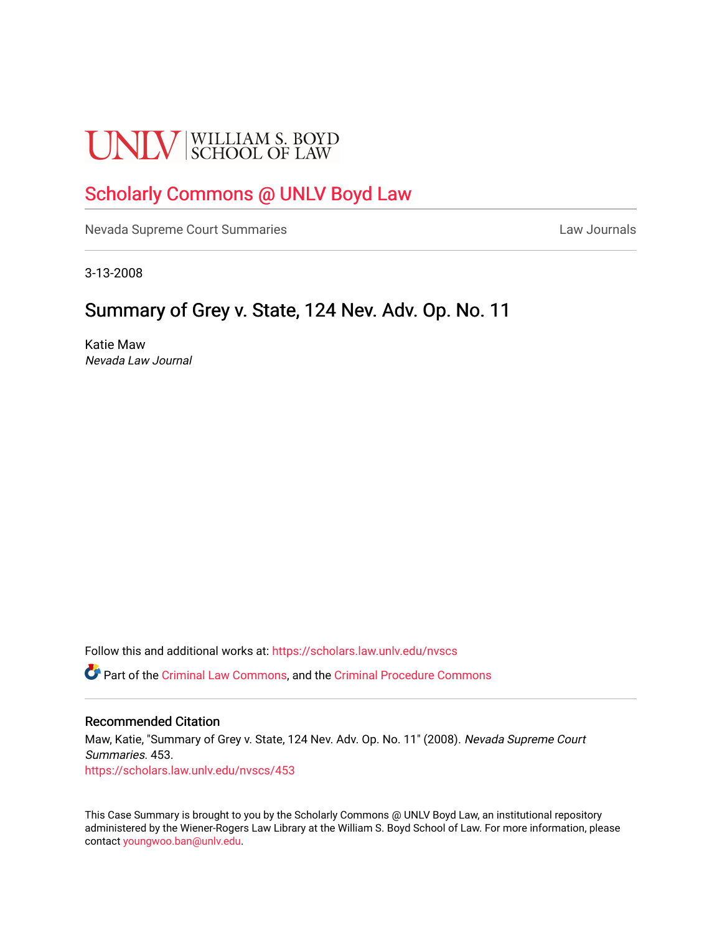# **UNLV** SCHOOL OF LAW

## [Scholarly Commons @ UNLV Boyd Law](https://scholars.law.unlv.edu/)

[Nevada Supreme Court Summaries](https://scholars.law.unlv.edu/nvscs) **Law Journals** Law Journals

3-13-2008

## Summary of Grey v. State, 124 Nev. Adv. Op. No. 11

Katie Maw Nevada Law Journal

Follow this and additional works at: [https://scholars.law.unlv.edu/nvscs](https://scholars.law.unlv.edu/nvscs?utm_source=scholars.law.unlv.edu%2Fnvscs%2F453&utm_medium=PDF&utm_campaign=PDFCoverPages)

Part of the [Criminal Law Commons,](http://network.bepress.com/hgg/discipline/912?utm_source=scholars.law.unlv.edu%2Fnvscs%2F453&utm_medium=PDF&utm_campaign=PDFCoverPages) and the [Criminal Procedure Commons](http://network.bepress.com/hgg/discipline/1073?utm_source=scholars.law.unlv.edu%2Fnvscs%2F453&utm_medium=PDF&utm_campaign=PDFCoverPages)

#### Recommended Citation

Maw, Katie, "Summary of Grey v. State, 124 Nev. Adv. Op. No. 11" (2008). Nevada Supreme Court Summaries. 453. [https://scholars.law.unlv.edu/nvscs/453](https://scholars.law.unlv.edu/nvscs/453?utm_source=scholars.law.unlv.edu%2Fnvscs%2F453&utm_medium=PDF&utm_campaign=PDFCoverPages)

This Case Summary is brought to you by the Scholarly Commons @ UNLV Boyd Law, an institutional repository administered by the Wiener-Rogers Law Library at the William S. Boyd School of Law. For more information, please contact [youngwoo.ban@unlv.edu](mailto:youngwoo.ban@unlv.edu).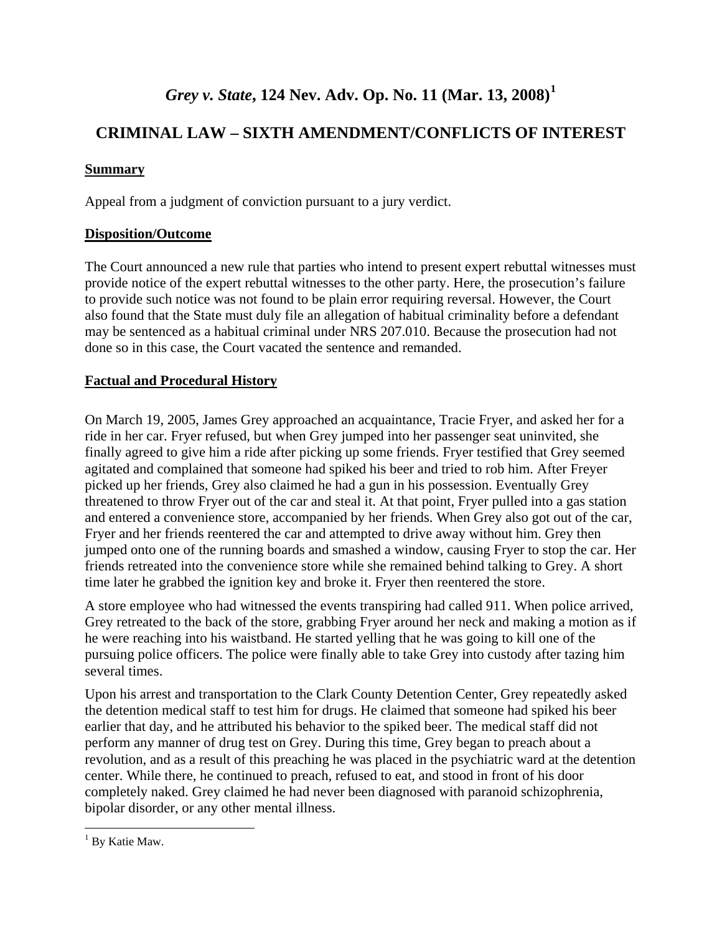## *Grey v. State***, 124 Nev. Adv. Op. No. 11 (Mar. 13, 2008)[1](#page-1-0)**

## **CRIMINAL LAW – SIXTH AMENDMENT/CONFLICTS OF INTEREST**

#### **Summary**

Appeal from a judgment of conviction pursuant to a jury verdict.

#### **Disposition/Outcome**

The Court announced a new rule that parties who intend to present expert rebuttal witnesses must provide notice of the expert rebuttal witnesses to the other party. Here, the prosecution's failure to provide such notice was not found to be plain error requiring reversal. However, the Court also found that the State must duly file an allegation of habitual criminality before a defendant may be sentenced as a habitual criminal under NRS 207.010. Because the prosecution had not done so in this case, the Court vacated the sentence and remanded.

#### **Factual and Procedural History**

On March 19, 2005, James Grey approached an acquaintance, Tracie Fryer, and asked her for a ride in her car. Fryer refused, but when Grey jumped into her passenger seat uninvited, she finally agreed to give him a ride after picking up some friends. Fryer testified that Grey seemed agitated and complained that someone had spiked his beer and tried to rob him. After Freyer picked up her friends, Grey also claimed he had a gun in his possession. Eventually Grey threatened to throw Fryer out of the car and steal it. At that point, Fryer pulled into a gas station and entered a convenience store, accompanied by her friends. When Grey also got out of the car, Fryer and her friends reentered the car and attempted to drive away without him. Grey then jumped onto one of the running boards and smashed a window, causing Fryer to stop the car. Her friends retreated into the convenience store while she remained behind talking to Grey. A short time later he grabbed the ignition key and broke it. Fryer then reentered the store.

A store employee who had witnessed the events transpiring had called 911. When police arrived, Grey retreated to the back of the store, grabbing Fryer around her neck and making a motion as if he were reaching into his waistband. He started yelling that he was going to kill one of the pursuing police officers. The police were finally able to take Grey into custody after tazing him several times.

Upon his arrest and transportation to the Clark County Detention Center, Grey repeatedly asked the detention medical staff to test him for drugs. He claimed that someone had spiked his beer earlier that day, and he attributed his behavior to the spiked beer. The medical staff did not perform any manner of drug test on Grey. During this time, Grey began to preach about a revolution, and as a result of this preaching he was placed in the psychiatric ward at the detention center. While there, he continued to preach, refused to eat, and stood in front of his door completely naked. Grey claimed he had never been diagnosed with paranoid schizophrenia, bipolar disorder, or any other mental illness.

<span id="page-1-0"></span> $\overline{a}$ <sup>1</sup> By Katie Maw.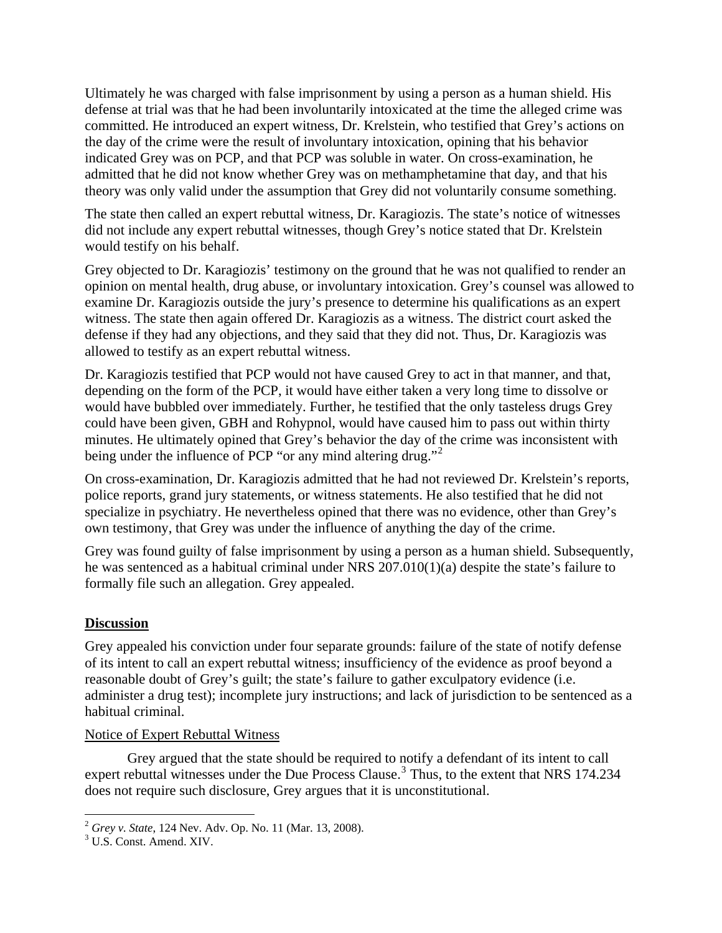Ultimately he was charged with false imprisonment by using a person as a human shield. His defense at trial was that he had been involuntarily intoxicated at the time the alleged crime was committed. He introduced an expert witness, Dr. Krelstein, who testified that Grey's actions on the day of the crime were the result of involuntary intoxication, opining that his behavior indicated Grey was on PCP, and that PCP was soluble in water. On cross-examination, he admitted that he did not know whether Grey was on methamphetamine that day, and that his theory was only valid under the assumption that Grey did not voluntarily consume something.

The state then called an expert rebuttal witness, Dr. Karagiozis. The state's notice of witnesses did not include any expert rebuttal witnesses, though Grey's notice stated that Dr. Krelstein would testify on his behalf.

Grey objected to Dr. Karagiozis' testimony on the ground that he was not qualified to render an opinion on mental health, drug abuse, or involuntary intoxication. Grey's counsel was allowed to examine Dr. Karagiozis outside the jury's presence to determine his qualifications as an expert witness. The state then again offered Dr. Karagiozis as a witness. The district court asked the defense if they had any objections, and they said that they did not. Thus, Dr. Karagiozis was allowed to testify as an expert rebuttal witness.

Dr. Karagiozis testified that PCP would not have caused Grey to act in that manner, and that, depending on the form of the PCP, it would have either taken a very long time to dissolve or would have bubbled over immediately. Further, he testified that the only tasteless drugs Grey could have been given, GBH and Rohypnol, would have caused him to pass out within thirty minutes. He ultimately opined that Grey's behavior the day of the crime was inconsistent with being under the influence of PCP "or any mind altering drug."<sup>[2](#page-2-0)</sup>

On cross-examination, Dr. Karagiozis admitted that he had not reviewed Dr. Krelstein's reports, police reports, grand jury statements, or witness statements. He also testified that he did not specialize in psychiatry. He nevertheless opined that there was no evidence, other than Grey's own testimony, that Grey was under the influence of anything the day of the crime.

Grey was found guilty of false imprisonment by using a person as a human shield. Subsequently, he was sentenced as a habitual criminal under NRS 207.010(1)(a) despite the state's failure to formally file such an allegation. Grey appealed.

#### **Discussion**

Grey appealed his conviction under four separate grounds: failure of the state of notify defense of its intent to call an expert rebuttal witness; insufficiency of the evidence as proof beyond a reasonable doubt of Grey's guilt; the state's failure to gather exculpatory evidence (i.e. administer a drug test); incomplete jury instructions; and lack of jurisdiction to be sentenced as a habitual criminal.

#### Notice of Expert Rebuttal Witness

 Grey argued that the state should be required to notify a defendant of its intent to call expert rebuttal witnesses under the Due Process Clause.<sup>[3](#page-2-1)</sup> Thus, to the extent that NRS 174.234 does not require such disclosure, Grey argues that it is unconstitutional.

 $\overline{a}$ 

<span id="page-2-0"></span><sup>2</sup> *Grey v. State*, 124 Nev. Adv. Op. No. 11 (Mar. 13, 2008). 3

<span id="page-2-1"></span><sup>&</sup>lt;sup>3</sup> U.S. Const. Amend. XIV.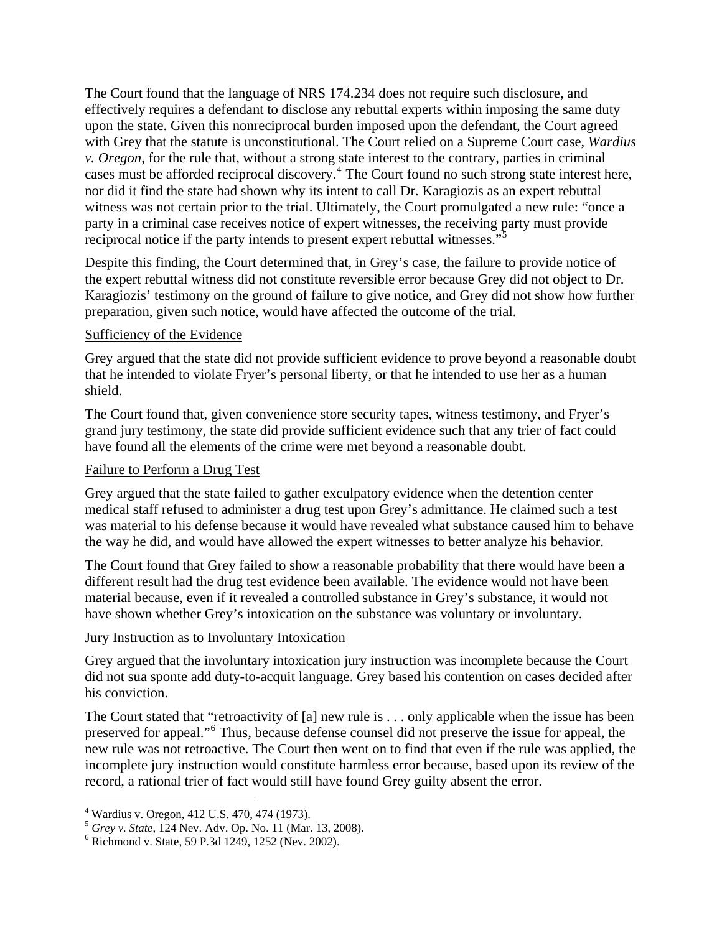The Court found that the language of NRS 174.234 does not require such disclosure, and effectively requires a defendant to disclose any rebuttal experts within imposing the same duty upon the state. Given this nonreciprocal burden imposed upon the defendant, the Court agreed with Grey that the statute is unconstitutional. The Court relied on a Supreme Court case, *Wardius v. Oregon*, for the rule that, without a strong state interest to the contrary, parties in criminal cases must be afforded reciprocal discovery.<sup>[4](#page-3-0)</sup> The Court found no such strong state interest here, nor did it find the state had shown why its intent to call Dr. Karagiozis as an expert rebuttal witness was not certain prior to the trial. Ultimately, the Court promulgated a new rule: "once a party in a criminal case receives notice of expert witnesses, the receiving party must provide reciprocal notice if the party intends to present expert rebuttal witnesses."<sup>[5](#page-3-1)</sup>

Despite this finding, the Court determined that, in Grey's case, the failure to provide notice of the expert rebuttal witness did not constitute reversible error because Grey did not object to Dr. Karagiozis' testimony on the ground of failure to give notice, and Grey did not show how further preparation, given such notice, would have affected the outcome of the trial.

#### Sufficiency of the Evidence

Grey argued that the state did not provide sufficient evidence to prove beyond a reasonable doubt that he intended to violate Fryer's personal liberty, or that he intended to use her as a human shield.

The Court found that, given convenience store security tapes, witness testimony, and Fryer's grand jury testimony, the state did provide sufficient evidence such that any trier of fact could have found all the elements of the crime were met beyond a reasonable doubt.

#### Failure to Perform a Drug Test

Grey argued that the state failed to gather exculpatory evidence when the detention center medical staff refused to administer a drug test upon Grey's admittance. He claimed such a test was material to his defense because it would have revealed what substance caused him to behave the way he did, and would have allowed the expert witnesses to better analyze his behavior.

The Court found that Grey failed to show a reasonable probability that there would have been a different result had the drug test evidence been available. The evidence would not have been material because, even if it revealed a controlled substance in Grey's substance, it would not have shown whether Grey's intoxication on the substance was voluntary or involuntary.

#### Jury Instruction as to Involuntary Intoxication

Grey argued that the involuntary intoxication jury instruction was incomplete because the Court did not sua sponte add duty-to-acquit language. Grey based his contention on cases decided after his conviction.

The Court stated that "retroactivity of [a] new rule is . . . only applicable when the issue has been preserved for appeal."<sup>[6](#page-3-2)</sup> Thus, because defense counsel did not preserve the issue for appeal, the new rule was not retroactive. The Court then went on to find that even if the rule was applied, the incomplete jury instruction would constitute harmless error because, based upon its review of the record, a rational trier of fact would still have found Grey guilty absent the error.

 $\overline{a}$ 

<sup>4</sup> Wardius v. Oregon, 412 U.S. 470, 474 (1973).

<span id="page-3-1"></span><span id="page-3-0"></span><sup>5</sup> *Grey v. State*, 124 Nev. Adv. Op. No. 11 (Mar. 13, 2008). 6

<span id="page-3-2"></span> $6$  Richmond v. State, 59 P.3d 1249, 1252 (Nev. 2002).